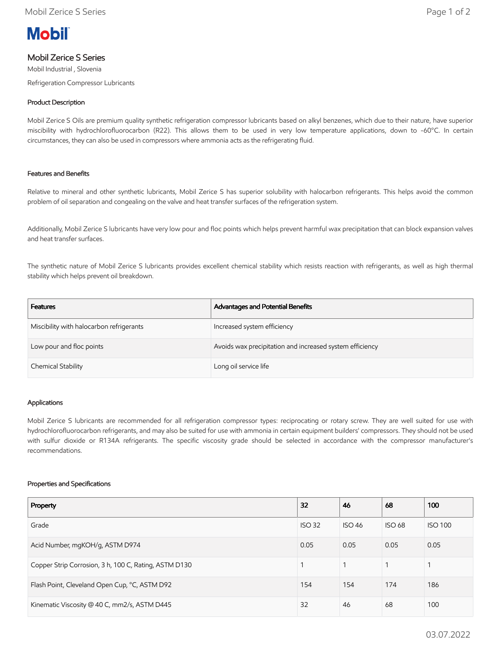

# Mobil Zerice S Series

Mobil Industrial , Slovenia

Refrigeration Compressor Lubricants

# Product Description

Mobil Zerice S Oils are premium quality synthetic refrigeration compressor lubricants based on alkyl benzenes, which due to their nature, have superior miscibility with hydrochlorofluorocarbon (R22). This allows them to be used in very low temperature applications, down to -60°C. In certain circumstances, they can also be used in compressors where ammonia acts as the refrigerating fluid.

## Features and Benefits

Relative to mineral and other synthetic lubricants, Mobil Zerice S has superior solubility with halocarbon refrigerants. This helps avoid the common problem of oil separation and congealing on the valve and heat transfer surfaces of the refrigeration system.

Additionally, Mobil Zerice S lubricants have very low pour and floc points which helps prevent harmful wax precipitation that can block expansion valves and heat transfer surfaces.

The synthetic nature of Mobil Zerice S lubricants provides excellent chemical stability which resists reaction with refrigerants, as well as high thermal stability which helps prevent oil breakdown.

| <b>Features</b>                          | Advantages and Potential Benefits                        |
|------------------------------------------|----------------------------------------------------------|
| Miscibility with halocarbon refrigerants | Increased system efficiency                              |
| Low pour and floc points                 | Avoids wax precipitation and increased system efficiency |
| Chemical Stability                       | Long oil service life                                    |

#### Applications

Mobil Zerice S lubricants are recommended for all refrigeration compressor types: reciprocating or rotary screw. They are well suited for use with hydrochlorofluorocarbon refrigerants, and may also be suited for use with ammonia in certain equipment builders' compressors. They should not be used with sulfur dioxide or R134A refrigerants. The specific viscosity grade should be selected in accordance with the compressor manufacturer's recommendations.

#### Properties and Specifications

| Property                                              | 32            | 46            | 68            | 100            |
|-------------------------------------------------------|---------------|---------------|---------------|----------------|
| Grade                                                 | <b>ISO 32</b> | <b>ISO 46</b> | <b>ISO 68</b> | <b>ISO 100</b> |
| Acid Number, mgKOH/g, ASTM D974<br>0.05               |               | 0.05          | 0.05          | 0.05           |
| Copper Strip Corrosion, 3 h, 100 C, Rating, ASTM D130 |               |               |               |                |
| Flash Point, Cleveland Open Cup, °C, ASTM D92         | 154           | 154           | 174           | 186            |
| Kinematic Viscosity @ 40 C, mm2/s, ASTM D445          | 32            | 46            | 68            | 100            |